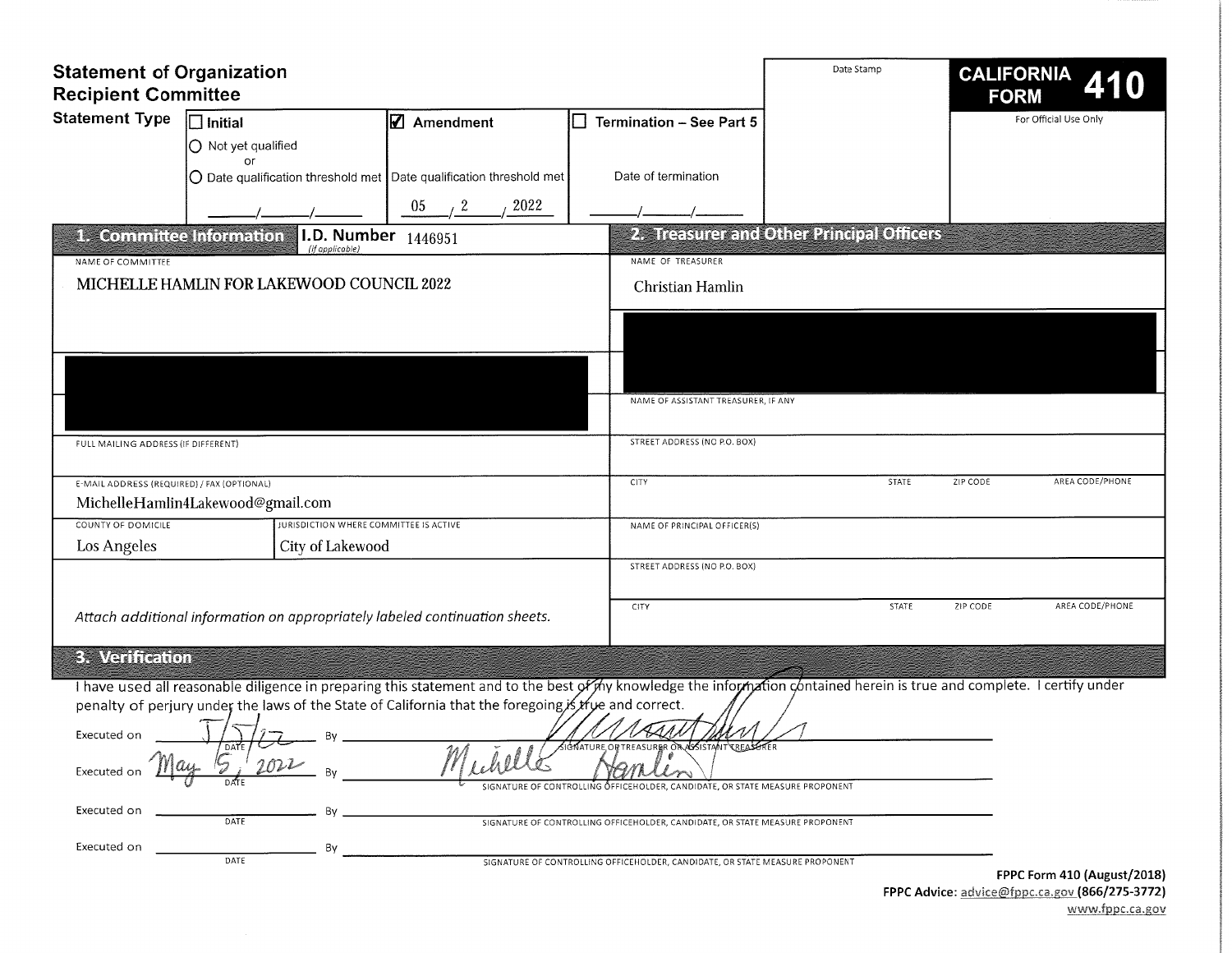| <b>Statement of Organization</b><br><b>Recipient Committee</b>                              |                                                                                                                                                                         | Date Stamp                  | <b>CALIFORNIA</b><br>410<br><b>FORM</b>                                      |                                           |                             |  |  |
|---------------------------------------------------------------------------------------------|-------------------------------------------------------------------------------------------------------------------------------------------------------------------------|-----------------------------|------------------------------------------------------------------------------|-------------------------------------------|-----------------------------|--|--|
| <b>Statement Type</b>                                                                       | $\exists$ Initial                                                                                                                                                       | $\mathbf Z$ Amendment       | <b>Termination - See Part 5</b>                                              |                                           | For Official Use Only       |  |  |
|                                                                                             | O Not yet qualified                                                                                                                                                     |                             |                                                                              |                                           |                             |  |  |
|                                                                                             | or<br>$\bigcirc$ Date qualification threshold met Date qualification threshold met                                                                                      |                             | Date of termination                                                          |                                           |                             |  |  |
|                                                                                             |                                                                                                                                                                         | 2022<br>05<br>$\frac{1}{2}$ |                                                                              |                                           |                             |  |  |
|                                                                                             | 1. Committee Information<br>I.D. Number                                                                                                                                 | 1446951                     |                                                                              | 2. Treasurer and Other Principal Officers |                             |  |  |
| NAME OF COMMITTEE                                                                           | (if applicable)                                                                                                                                                         |                             | NAME OF TREASURER                                                            |                                           |                             |  |  |
|                                                                                             | MICHELLE HAMLIN FOR LAKEWOOD COUNCIL 2022                                                                                                                               |                             | Christian Hamlin                                                             |                                           |                             |  |  |
|                                                                                             |                                                                                                                                                                         |                             |                                                                              |                                           |                             |  |  |
|                                                                                             |                                                                                                                                                                         |                             |                                                                              |                                           |                             |  |  |
|                                                                                             |                                                                                                                                                                         |                             |                                                                              |                                           |                             |  |  |
|                                                                                             |                                                                                                                                                                         |                             |                                                                              |                                           |                             |  |  |
|                                                                                             |                                                                                                                                                                         |                             | NAME OF ASSISTANT TREASURER, IF ANY                                          |                                           |                             |  |  |
| FULL MAILING ADDRESS (IF DIFFERENT)                                                         |                                                                                                                                                                         |                             | STREET ADDRESS (NO P.O. BOX)                                                 |                                           |                             |  |  |
|                                                                                             |                                                                                                                                                                         |                             |                                                                              |                                           |                             |  |  |
| E-MAIL ADDRESS (REQUIRED) / FAX (OPTIONAL)                                                  |                                                                                                                                                                         |                             | CITY                                                                         | STATE                                     | ZIP CODE<br>AREA CODE/PHONE |  |  |
|                                                                                             | MichelleHamlin4Lakewood@gmail.com                                                                                                                                       |                             |                                                                              |                                           |                             |  |  |
| COUNTY OF DOMICILE                                                                          | <b>URISDICTION WHERE COMMITTEE IS ACTIVE</b>                                                                                                                            |                             | NAME OF PRINCIPAL OFFICER(S)                                                 |                                           |                             |  |  |
| Los Angeles                                                                                 | City of Lakewood                                                                                                                                                        |                             | STREET ADDRESS (NO P.O. BOX)                                                 |                                           |                             |  |  |
|                                                                                             |                                                                                                                                                                         |                             |                                                                              |                                           |                             |  |  |
|                                                                                             | Attach additional information on appropriately labeled continuation sheets.                                                                                             |                             | CITY                                                                         | STATE                                     | ZIP CODE<br>AREA CODE/PHONE |  |  |
|                                                                                             |                                                                                                                                                                         |                             |                                                                              |                                           |                             |  |  |
| 3. Verification                                                                             |                                                                                                                                                                         |                             |                                                                              |                                           |                             |  |  |
|                                                                                             | I have used all reasonable diligence in preparing this statement and to the best of my knowledge the information contained herein is true and complete. I certify under |                             |                                                                              |                                           |                             |  |  |
|                                                                                             | penalty of perjury under the laws of the State of California that the foregoing is type and correct.                                                                    |                             |                                                                              |                                           |                             |  |  |
| Executed on                                                                                 | By                                                                                                                                                                      |                             |                                                                              |                                           |                             |  |  |
| Executed or<br>SIGNATURE OF CONTROLLING OFFICEHOLDER, CANDIDATE, OR STATE MEASURE PROPONENT |                                                                                                                                                                         |                             |                                                                              |                                           |                             |  |  |
| Executed on                                                                                 | DATE<br>SIGNATURE OF CONTROLLING OFFICEHOLDER, CANDIDATE, OR STATE MEASURE PROPONENT                                                                                    |                             |                                                                              |                                           |                             |  |  |
| Executed on                                                                                 | Bv                                                                                                                                                                      |                             |                                                                              |                                           |                             |  |  |
|                                                                                             | DATE                                                                                                                                                                    |                             | SIGNATURE OF CONTROLLING OFFICEHOLDER, CANDIDATE, OR STATE MEASURE PROPONENT |                                           | FPPC Form 410 (August/2018) |  |  |

FPPC Advice: advice@fppc.ca.gov (866/275-3772) www.fppc.ca.gov τ.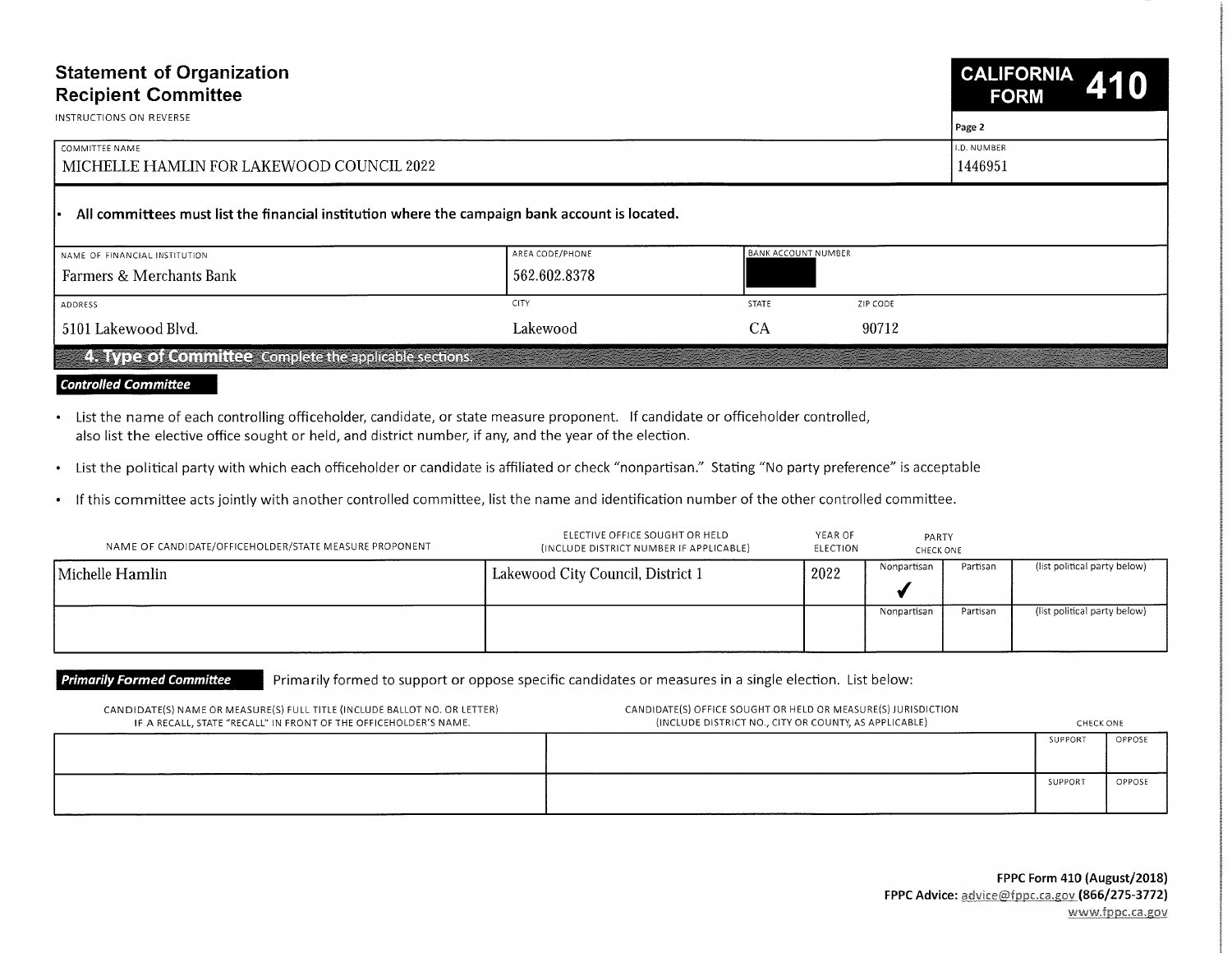| <b>Statement of Organization</b>                                                               | CALIFORNIA 410 |  |  |
|------------------------------------------------------------------------------------------------|----------------|--|--|
| <b>Recipient Committee</b>                                                                     | <b>FORM</b>    |  |  |
| INSTRUCTIONS ON REVERSE                                                                        | Page 2         |  |  |
| COMMITTEE NAME                                                                                 | I.D. NUMBER    |  |  |
| MICHELLE HAMLIN FOR LAKEWOOD COUNCIL 2022                                                      | 1446951        |  |  |
| All committees must list the financial institution where the campaign bank account is located. |                |  |  |

| Farmers & Merchants Bank | 562.602.8378 |              |          |  |
|--------------------------|--------------|--------------|----------|--|
| ADDRESS                  | <b>CITY</b>  | <b>STATE</b> | ZIP CODE |  |
| 5101 Lakewood Blvd.      | Lakewood     | UΑ           | 90712    |  |

## **Controlled Committee**

- List the name of each controlling officeholder, candidate, or state measure proponent. If candidate or officeholder controlled, also list the elective office sought or held, and district number, if any, and the year of the election.
- List the political party with which each officeholder or candidate is affiliated or check "nonpartisan." Stating "No party preference" is acceptable
- If this committee acts jointly with another controlled committee, list the name and identification number of the other controlled committee.

| NAME OF CANDIDATE/OFFICEHOLDER/STATE MEASURE PROPONENT | ELECTIVE OFFICE SOUGHT OR HELD<br>(INCLUDE DISTRICT NUMBER IF APPLICABLE) | YEAR OF<br>ELECTION | PARTY<br>CHECK ONE |          |                              |
|--------------------------------------------------------|---------------------------------------------------------------------------|---------------------|--------------------|----------|------------------------------|
| Michelle Hamlin                                        | Lakewood City Council, District 1                                         | 2022                | Nonpartisan        | Partisan | (list political party below) |
|                                                        |                                                                           |                     | Nonpartisan        | Partisan | (list political party below) |

Primarily Formed Committee Primarily formed to support or oppose specific candidates or measures in a single election. List below:

| CANDIDATE(S) NAME OR MEASURE(S) FULL TITLE (INCLUDE BALLOT NO. OR LETTER)<br>IF A RECALL, STATE "RECALL" IN FRONT OF THE OFFICEHOLDER'S NAME. | CANDIDATE(S) OFFICE SOUGHT OR HELD OR MEASURE(S) JURISDICTION<br>(INCLUDE DISTRICT NO., CITY OR COUNTY, AS APPLICABLE) | CHECK ONE |        |  |
|-----------------------------------------------------------------------------------------------------------------------------------------------|------------------------------------------------------------------------------------------------------------------------|-----------|--------|--|
|                                                                                                                                               |                                                                                                                        | SUPPORT   | OPPOSE |  |
|                                                                                                                                               |                                                                                                                        | SUPPOR1   | OPPOSE |  |

**international** 

e